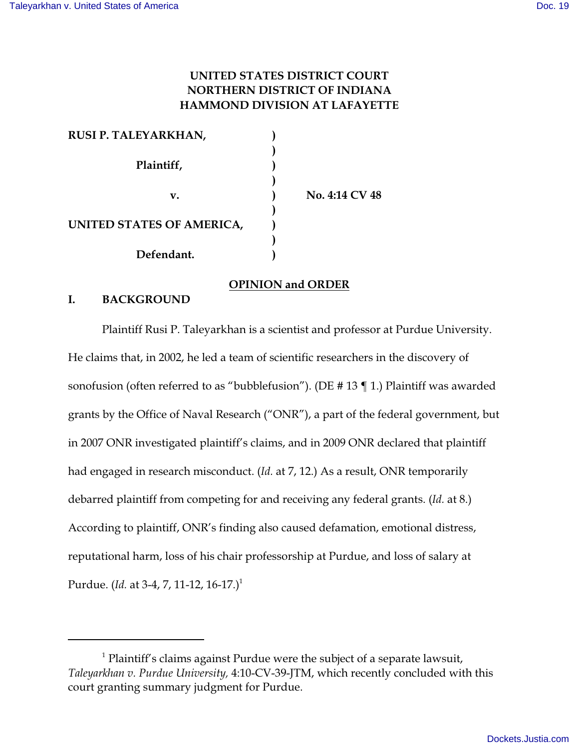# **UNITED STATES DISTRICT COURT NORTHERN DISTRICT OF INDIANA HAMMOND DIVISION AT LAFAYETTE**

| RUSI P. TALEYARKHAN,      |                |
|---------------------------|----------------|
|                           |                |
| Plaintiff,                |                |
|                           |                |
| v.                        | No. 4:14 CV 48 |
|                           |                |
| UNITED STATES OF AMERICA, |                |
|                           |                |
| Defendant.                |                |

## **OPINION and ORDER**

#### **I. BACKGROUND**

Plaintiff Rusi P. Taleyarkhan is a scientist and professor at Purdue University. He claims that, in 2002, he led a team of scientific researchers in the discovery of sonofusion (often referred to as "bubblefusion"). (DE # 13 ¶ 1.) Plaintiff was awarded grants by the Office of Naval Research ("ONR"), a part of the federal government, but in 2007 ONR investigated plaintiff's claims, and in 2009 ONR declared that plaintiff had engaged in research misconduct. (*Id.* at 7, 12.) As a result, ONR temporarily debarred plaintiff from competing for and receiving any federal grants. (*Id.* at 8.) According to plaintiff, ONR's finding also caused defamation, emotional distress, reputational harm, loss of his chair professorship at Purdue, and loss of salary at Purdue. (*Id.* at 3-4, 7, 11-12, 16-17.)<sup>1</sup>

 $<sup>1</sup>$  Plaintiff's claims against Purdue were the subject of a separate lawsuit,</sup> *Taleyarkhan v. Purdue University,* 4:10-CV-39-JTM, which recently concluded with this court granting summary judgment for Purdue.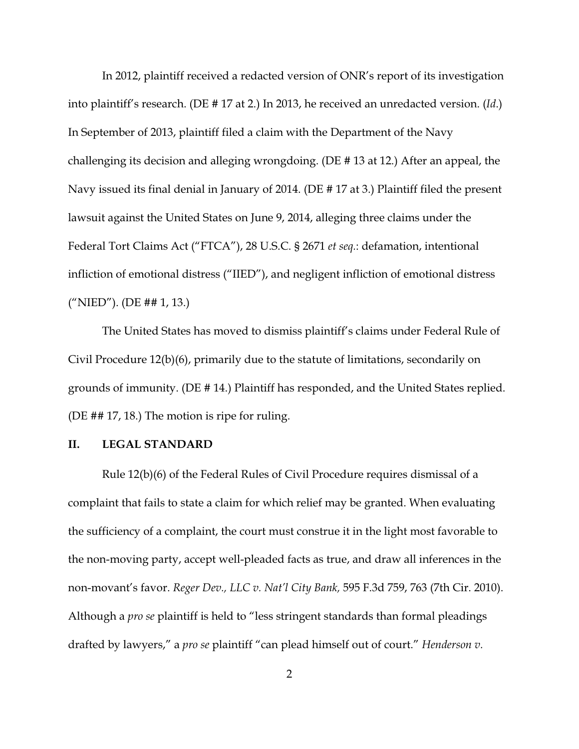In 2012, plaintiff received a redacted version of ONR's report of its investigation into plaintiff's research. (DE # 17 at 2.) In 2013, he received an unredacted version. (*Id*.) In September of 2013, plaintiff filed a claim with the Department of the Navy challenging its decision and alleging wrongdoing. (DE # 13 at 12.) After an appeal, the Navy issued its final denial in January of 2014. (DE # 17 at 3.) Plaintiff filed the present lawsuit against the United States on June 9, 2014, alleging three claims under the Federal Tort Claims Act ("FTCA"), 28 U.S.C. § 2671 *et seq.*: defamation, intentional infliction of emotional distress ("IIED"), and negligent infliction of emotional distress ("NIED"). (DE ## 1, 13.)

The United States has moved to dismiss plaintiff's claims under Federal Rule of Civil Procedure 12(b)(6), primarily due to the statute of limitations, secondarily on grounds of immunity. (DE # 14.) Plaintiff has responded, and the United States replied. (DE ## 17, 18.) The motion is ripe for ruling.

### **II. LEGAL STANDARD**

Rule 12(b)(6) of the Federal Rules of Civil Procedure requires dismissal of a complaint that fails to state a claim for which relief may be granted. When evaluating the sufficiency of a complaint, the court must construe it in the light most favorable to the non-moving party, accept well-pleaded facts as true, and draw all inferences in the non-movant's favor. *Reger Dev., LLC v. Nat'l City Bank,* 595 F.3d 759, 763 (7th Cir. 2010). Although a *pro se* plaintiff is held to "less stringent standards than formal pleadings drafted by lawyers," a *pro se* plaintiff "can plead himself out of court." *Henderson v.*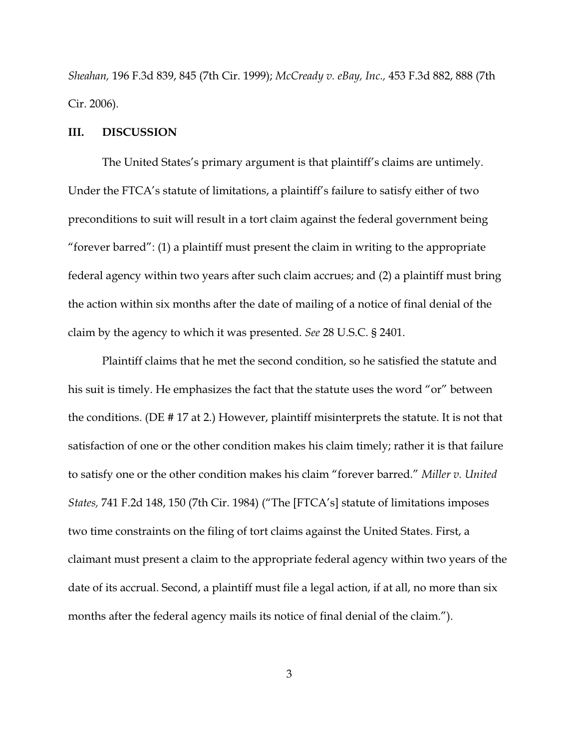*Sheahan,* 196 F.3d 839, 845 (7th Cir. 1999); *McCready v. eBay, Inc.,* 453 F.3d 882, 888 (7th Cir. 2006).

#### **III. DISCUSSION**

The United States's primary argument is that plaintiff's claims are untimely. Under the FTCA's statute of limitations, a plaintiff's failure to satisfy either of two preconditions to suit will result in a tort claim against the federal government being "forever barred": (1) a plaintiff must present the claim in writing to the appropriate federal agency within two years after such claim accrues; and (2) a plaintiff must bring the action within six months after the date of mailing of a notice of final denial of the claim by the agency to which it was presented. *See* 28 U.S.C. § 2401.

Plaintiff claims that he met the second condition, so he satisfied the statute and his suit is timely. He emphasizes the fact that the statute uses the word "or" between the conditions. (DE # 17 at 2.) However, plaintiff misinterprets the statute. It is not that satisfaction of one or the other condition makes his claim timely; rather it is that failure to satisfy one or the other condition makes his claim "forever barred." *Miller v. United States,* 741 F.2d 148, 150 (7th Cir. 1984) ("The [FTCA's] statute of limitations imposes two time constraints on the filing of tort claims against the United States. First, a claimant must present a claim to the appropriate federal agency within two years of the date of its accrual. Second, a plaintiff must file a legal action, if at all, no more than six months after the federal agency mails its notice of final denial of the claim.").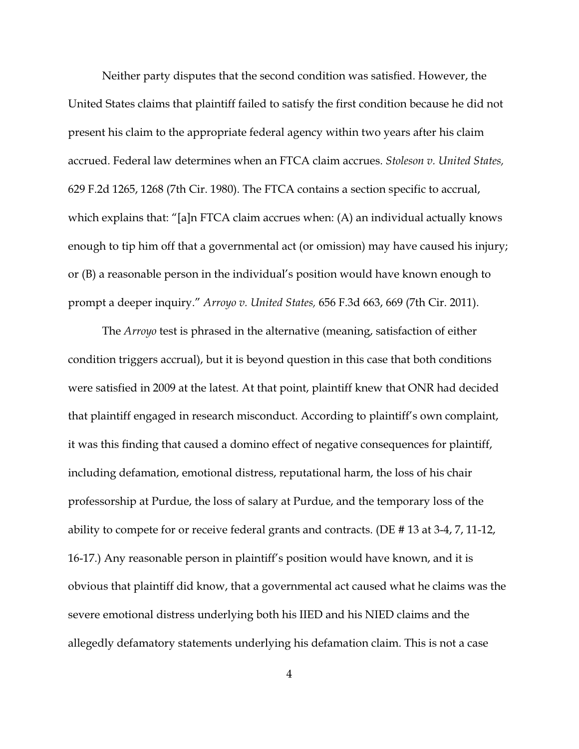Neither party disputes that the second condition was satisfied. However, the United States claims that plaintiff failed to satisfy the first condition because he did not present his claim to the appropriate federal agency within two years after his claim accrued. Federal law determines when an FTCA claim accrues. *Stoleson v. United States,* 629 F.2d 1265, 1268 (7th Cir. 1980). The FTCA contains a section specific to accrual, which explains that: "[a]n FTCA claim accrues when: (A) an individual actually knows enough to tip him off that a governmental act (or omission) may have caused his injury; or (B) a reasonable person in the individual's position would have known enough to prompt a deeper inquiry." *Arroyo v. United States,* 656 F.3d 663, 669 (7th Cir. 2011).

The *Arroyo* test is phrased in the alternative (meaning, satisfaction of either condition triggers accrual), but it is beyond question in this case that both conditions were satisfied in 2009 at the latest. At that point, plaintiff knew that ONR had decided that plaintiff engaged in research misconduct. According to plaintiff's own complaint, it was this finding that caused a domino effect of negative consequences for plaintiff, including defamation, emotional distress, reputational harm, the loss of his chair professorship at Purdue, the loss of salary at Purdue, and the temporary loss of the ability to compete for or receive federal grants and contracts. (DE # 13 at 3-4, 7, 11-12, 16-17.) Any reasonable person in plaintiff's position would have known, and it is obvious that plaintiff did know, that a governmental act caused what he claims was the severe emotional distress underlying both his IIED and his NIED claims and the allegedly defamatory statements underlying his defamation claim. This is not a case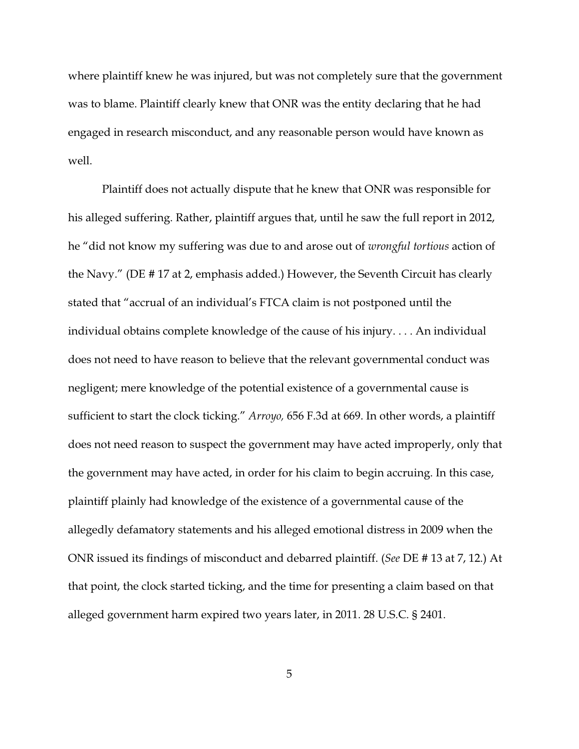where plaintiff knew he was injured, but was not completely sure that the government was to blame. Plaintiff clearly knew that ONR was the entity declaring that he had engaged in research misconduct, and any reasonable person would have known as well.

Plaintiff does not actually dispute that he knew that ONR was responsible for his alleged suffering. Rather, plaintiff argues that, until he saw the full report in 2012, he "did not know my suffering was due to and arose out of *wrongful tortious* action of the Navy." (DE # 17 at 2, emphasis added.) However, the Seventh Circuit has clearly stated that "accrual of an individual's FTCA claim is not postponed until the individual obtains complete knowledge of the cause of his injury. . . . An individual does not need to have reason to believe that the relevant governmental conduct was negligent; mere knowledge of the potential existence of a governmental cause is sufficient to start the clock ticking." *Arroyo,* 656 F.3d at 669. In other words, a plaintiff does not need reason to suspect the government may have acted improperly, only that the government may have acted, in order for his claim to begin accruing. In this case, plaintiff plainly had knowledge of the existence of a governmental cause of the allegedly defamatory statements and his alleged emotional distress in 2009 when the ONR issued its findings of misconduct and debarred plaintiff. (*See* DE # 13 at 7, 12.) At that point, the clock started ticking, and the time for presenting a claim based on that alleged government harm expired two years later, in 2011. 28 U.S.C. § 2401.

5